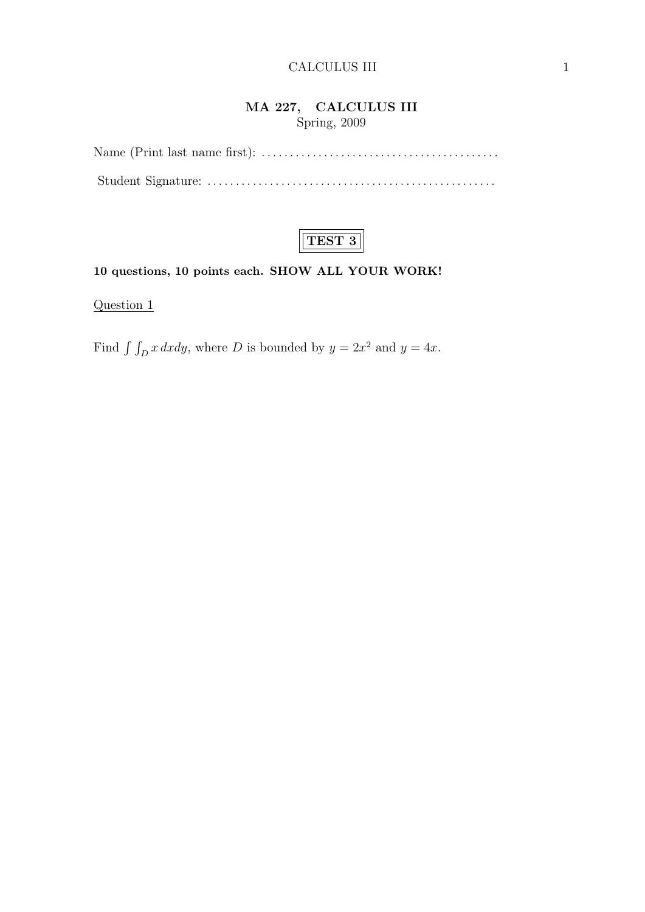### MA 227, CALCULUS III Spring, 2009



### 10 questions, 10 points each. SHOW ALL YOUR WORK!

Question 1

Find  $\int \int_D x \, dxdy$ , where D is bounded by  $y = 2x^2$  and  $y = 4x$ .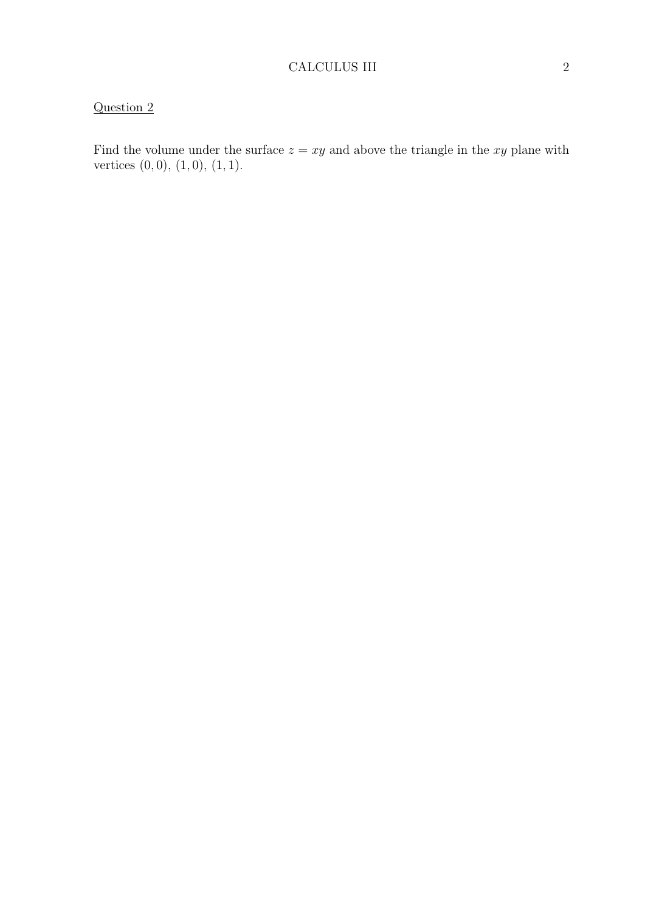Find the volume under the surface  $z = xy$  and above the triangle in the xy plane with vertices  $(0, 0)$ ,  $(1, 0)$ ,  $(1, 1)$ .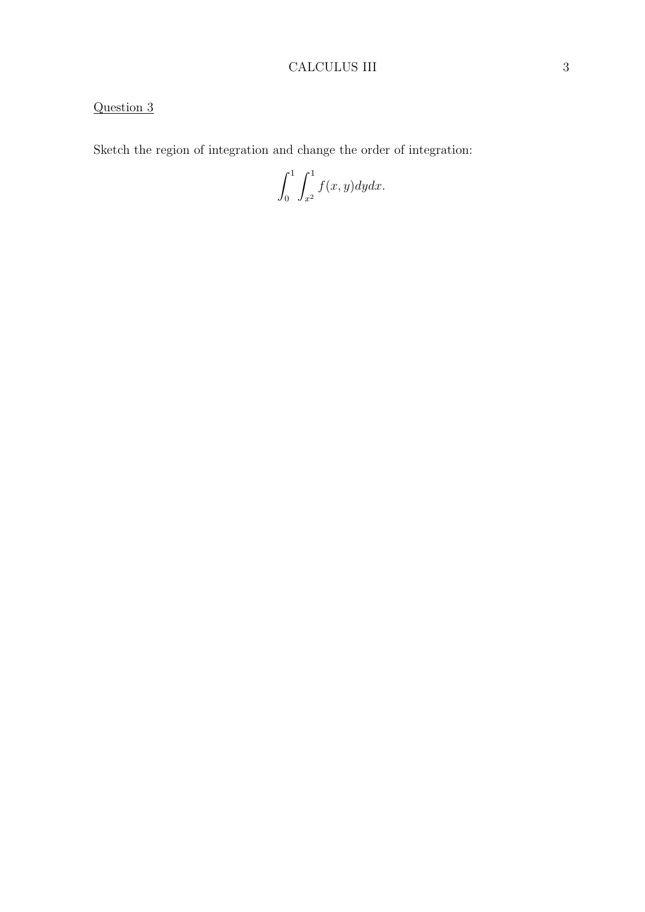## CALCULUS III 3

# Question 3

Sketch the region of integration and change the order of integration:

 $\int_0^1$ 0  $\int_0^1$  $x^2$  $f(x, y)dydx$ .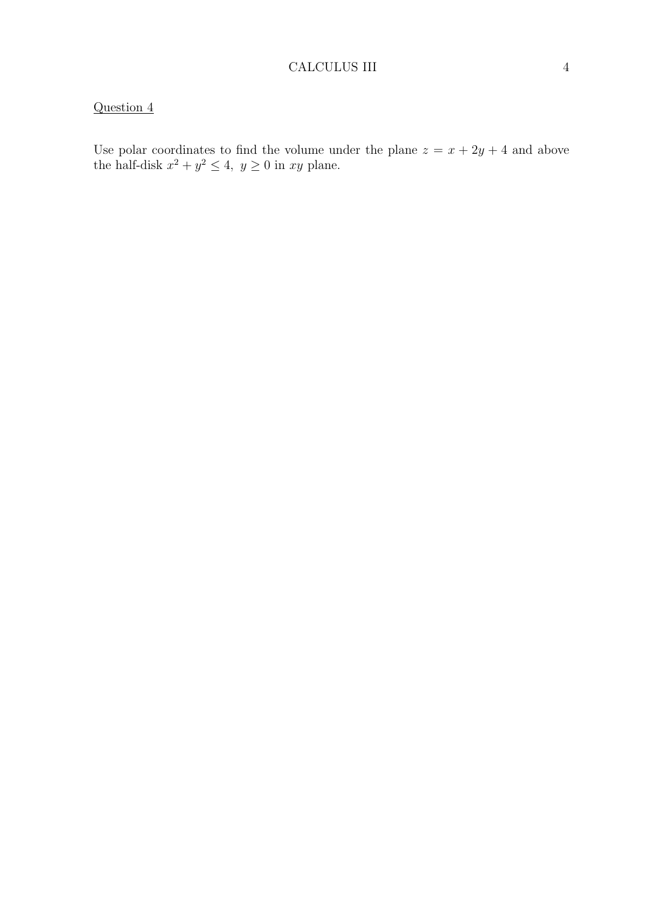Use polar coordinates to find the volume under the plane  $z = x + 2y + 4$  and above the half-disk  $x^2 + y^2 \le 4$ ,  $y \ge 0$  in xy plane.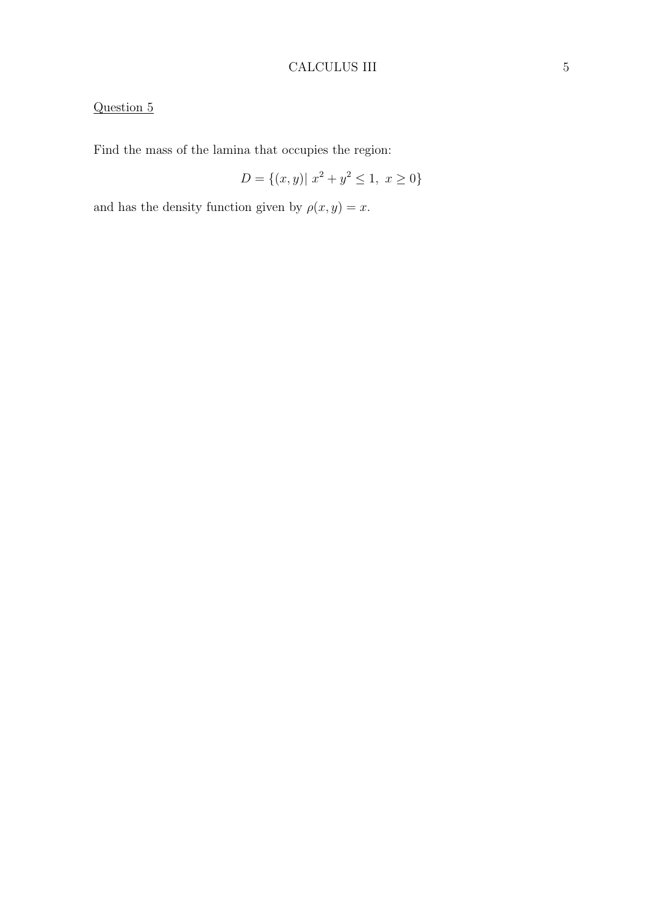## CALCULUS III 5

# Question 5

Find the mass of the lamina that occupies the region:

$$
D = \{(x, y) | x^2 + y^2 \le 1, x \ge 0\}
$$

and has the density function given by  $\rho(x, y) = x$ .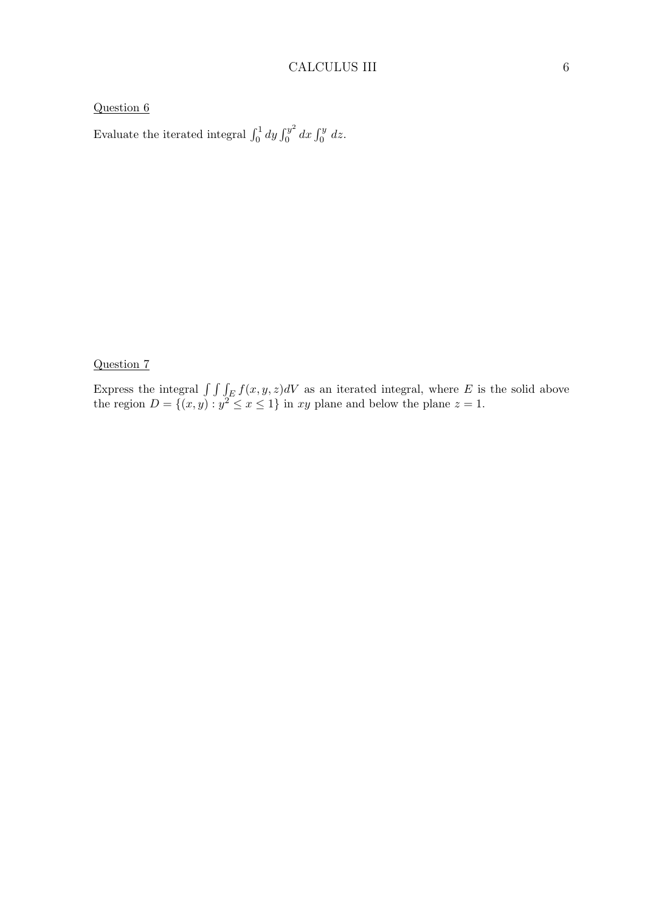Evaluate the iterated integral  $\int_0^1 dy \int_0^{y^2}$  $\int_0^{y^2} dx \int_0^y dz.$ 

#### Question 7

Express the integral  $\int \int \int_E f(x, y, z)dV$  as an iterated integral, where E is the solid above the region  $D = \{(x, y) : y^2 \le x \le 1\}$  in xy plane and below the plane  $z = 1$ .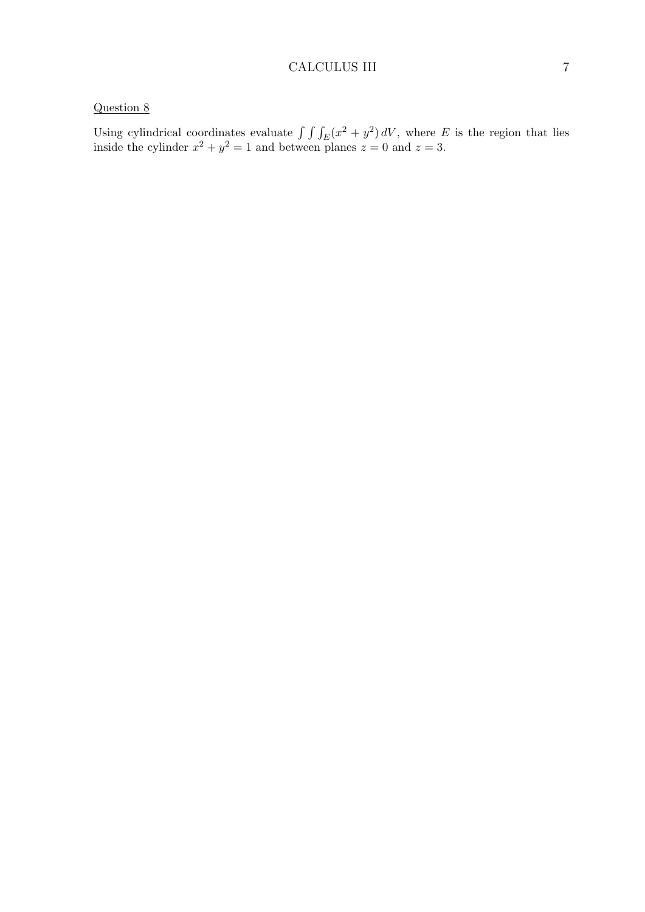Using cylindrical coordinates evaluate  $\int \int \int_E (x^2 + y^2) dV$ , where E is the region that lies inside the cylinder  $x^2 + y^2 = 1$  and between planes  $z = 0$  and  $z = 3$ .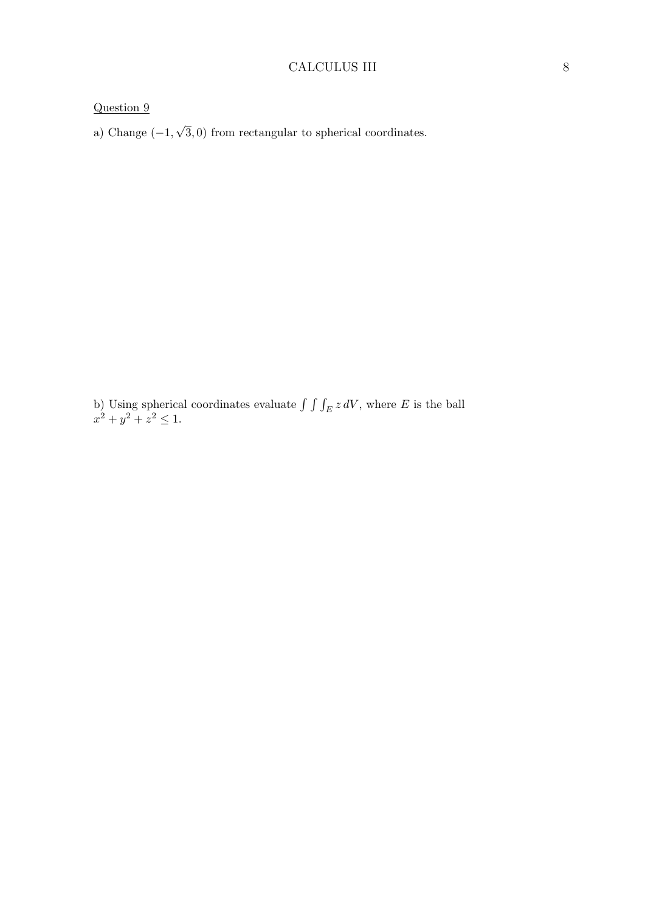a) Change  $(-1,$ √ 3, 0) from rectangular to spherical coordinates.

b) Using spherical coordinates evaluate  $\int \int \int_E z dV$ , where E is the ball  $x^2 + y^2 + z^2 \leq 1.$